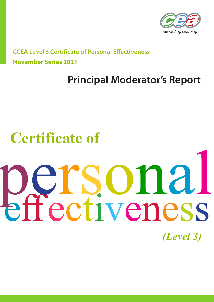

**CCEA Level 3 Certificate of Personal Effectiveness November Series 2021**

## **Principal Moderator's Report**

# **Certificate of**

# effectiveness *(Level 3)* personal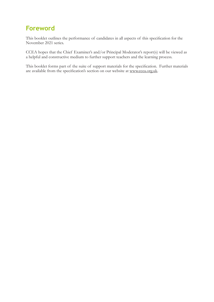#### **Foreword**

This booklet outlines the performance of candidates in all aspects of this specification for the November 2021 series.

CCEA hopes that the Chief Examiner's and/or Principal Moderator's report(s) will be viewed as a helpful and constructive medium to further support teachers and the learning process.

This booklet forms part of the suite of support materials for the specification. Further materials are available from the specification's section on our website at www.ccea.org.uk.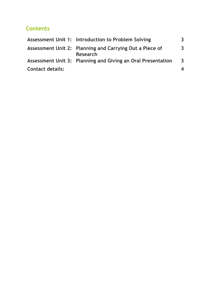#### **Contents**

|                         | Assessment Unit 1: Introduction to Problem Solving                         | 3                       |
|-------------------------|----------------------------------------------------------------------------|-------------------------|
|                         | Assessment Unit 2: Planning and Carrying Out a Piece of<br><b>Research</b> | $\overline{3}$          |
|                         | Assessment Unit 3: Planning and Giving an Oral Presentation                | $\overline{\mathbf{3}}$ |
| <b>Contact details:</b> |                                                                            | 4                       |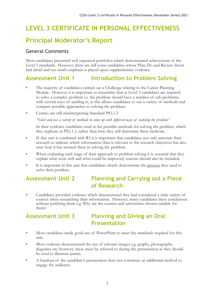## **LEVEL 3 CERTIFICATE IN PERSONAL EFFECTIVENESS**

#### **Principal Moderator's Report**

#### General Comments

Most candidates presented well organised portfolios which demonstrated achievement of the Level 3 standards. However, there are still some candidates whose Plan, Do and Review sheets lack detail and too much emphasis is placed upon supplementary evidence.

#### **Assessment Unit 1 Introduction to Problem Solving**

- The majority of candidates carried out a Challenge relating to the Career Planning Module. However it is important to remember that at Level 3 candidates are required to solve a complex problem i.e. the problem should have a number of sub-problems, with several ways of tackling it, as this allows candidates to use a variety of methods and compare possible approaches to solving the problem.
- Centres are still misinterpreting Standard PS3.1.2

*"Select and use a variety of methods to come up with different ways of tackling the problem"*

In their evidence candidates tend to list possible methods for solving the problem, which they replicate in PS3.1.3, rather than how they will determine these methods.

- If this unit is combined with R3 it is important that candidates not only annotate their research to indicate which information/data is relevant to the research objectives but also state how it has assisted them in solving the problem.
- When evaluating each stage of their approach to problem solving it is essential that they explain what went well and what could be improved; reasons should also be included.
- It is important in this unit that candidates clearly demonstrate the process they used to solve their problem.

#### **Assessment Unit 2 Planning and Carrying out a Piece of Research**

• Candidates provided evidence which demonstrated they had considered a wide variety of sources when researching their information. However, many candidates drew conclusions without justifying them e.g. Why are the courses and universities chosen suitable for them?

#### **Assessment Unit 3 Planning and Giving an Oral Presentation**

- Most candidates made good use of PowerPoint to meet the standards required for this unit.
- Most evidence demonstrated the use of relevant images e.g. graphs, photographs, diagrams etc; however, these must be referred to during the presentation as they should be used to illustrate points.
- A handout of the candidate's presentation does not constitute an additional method to engage the audience.